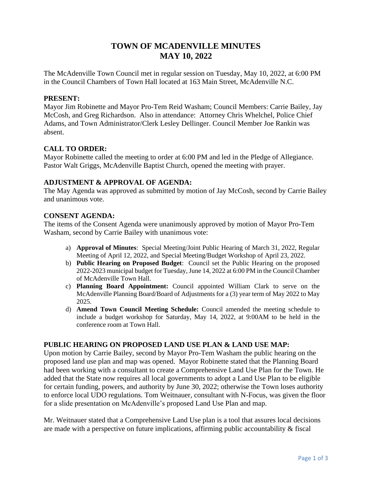# **TOWN OF MCADENVILLE MINUTES MAY 10, 2022**

The McAdenville Town Council met in regular session on Tuesday, May 10, 2022, at 6:00 PM in the Council Chambers of Town Hall located at 163 Main Street, McAdenville N.C.

### **PRESENT:**

Mayor Jim Robinette and Mayor Pro-Tem Reid Washam; Council Members: Carrie Bailey, Jay McCosh, and Greg Richardson. Also in attendance: Attorney Chris Whelchel, Police Chief Adams, and Town Administrator/Clerk Lesley Dellinger. Council Member Joe Rankin was absent.

# **CALL TO ORDER:**

Mayor Robinette called the meeting to order at 6:00 PM and led in the Pledge of Allegiance. Pastor Walt Griggs, McAdenville Baptist Church, opened the meeting with prayer.

### **ADJUSTMENT & APPROVAL OF AGENDA:**

The May Agenda was approved as submitted by motion of Jay McCosh, second by Carrie Bailey and unanimous vote.

### **CONSENT AGENDA:**

The items of the Consent Agenda were unanimously approved by motion of Mayor Pro-Tem Washam, second by Carrie Bailey with unanimous vote:

- a) **Approval of Minutes**: Special Meeting/Joint Public Hearing of March 31, 2022, Regular Meeting of April 12, 2022, and Special Meeting/Budget Workshop of April 23, 2022.
- b) **Public Hearing on Proposed Budget**: Council set the Public Hearing on the proposed 2022-2023 municipal budget for Tuesday, June 14, 2022 at 6:00 PM in the Council Chamber of McAdenville Town Hall.
- c) **Planning Board Appointment:** Council appointed William Clark to serve on the McAdenville Planning Board/Board of Adjustments for a (3) year term of May 2022 to May 2025.
- d) **Amend Town Council Meeting Schedule:** Council amended the meeting schedule to include a budget workshop for Saturday, May 14, 2022, at 9:00AM to be held in the conference room at Town Hall.

### **PUBLIC HEARING ON PROPOSED LAND USE PLAN & LAND USE MAP:**

Upon motion by Carrie Bailey, second by Mayor Pro-Tem Washam the public hearing on the proposed land use plan and map was opened. Mayor Robinette stated that the Planning Board had been working with a consultant to create a Comprehensive Land Use Plan for the Town. He added that the State now requires all local governments to adopt a Land Use Plan to be eligible for certain funding, powers, and authority by June 30, 2022; otherwise the Town loses authority to enforce local UDO regulations. Tom Weitnauer, consultant with N-Focus, was given the floor for a slide presentation on McAdenville's proposed Land Use Plan and map.

Mr. Weitnauer stated that a Comprehensive Land Use plan is a tool that assures local decisions are made with a perspective on future implications, affirming public accountability & fiscal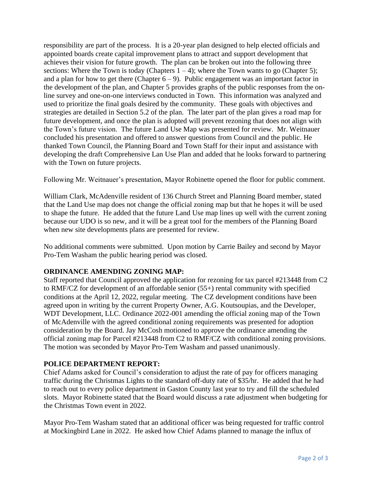responsibility are part of the process. It is a 20-year plan designed to help elected officials and appointed boards create capital improvement plans to attract and support development that achieves their vision for future growth. The plan can be broken out into the following three sections: Where the Town is today (Chapters  $1 - 4$ ); where the Town wants to go (Chapter 5); and a plan for how to get there (Chapter  $6 - 9$ ). Public engagement was an important factor in the development of the plan, and Chapter 5 provides graphs of the public responses from the online survey and one-on-one interviews conducted in Town. This information was analyzed and used to prioritize the final goals desired by the community. These goals with objectives and strategies are detailed in Section 5.2 of the plan. The later part of the plan gives a road map for future development, and once the plan is adopted will prevent rezoning that does not align with the Town's future vision. The future Land Use Map was presented for review. Mr. Weitnauer concluded his presentation and offered to answer questions from Council and the public. He thanked Town Council, the Planning Board and Town Staff for their input and assistance with developing the draft Comprehensive Lan Use Plan and added that he looks forward to partnering with the Town on future projects.

Following Mr. Weitnauer's presentation, Mayor Robinette opened the floor for public comment.

William Clark, McAdenville resident of 136 Church Street and Planning Board member, stated that the Land Use map does not change the official zoning map but that he hopes it will be used to shape the future. He added that the future Land Use map lines up well with the current zoning because our UDO is so new, and it will be a great tool for the members of the Planning Board when new site developments plans are presented for review.

No additional comments were submitted. Upon motion by Carrie Bailey and second by Mayor Pro-Tem Washam the public hearing period was closed.

# **ORDINANCE AMENDING ZONING MAP:**

Staff reported that Council approved the application for rezoning for tax parcel #213448 from C2 to RMF/CZ for development of an affordable senior (55+) rental community with specified conditions at the April 12, 2022, regular meeting. The CZ development conditions have been agreed upon in writing by the current Property Owner, A.G. Koutsoupias, and the Developer, WDT Development, LLC. Ordinance 2022-001 amending the official zoning map of the Town of McAdenville with the agreed conditional zoning requirements was presented for adoption consideration by the Board. Jay McCosh motioned to approve the ordinance amending the official zoning map for Parcel #213448 from C2 to RMF/CZ with conditional zoning provisions. The motion was seconded by Mayor Pro-Tem Washam and passed unanimously.

### **POLICE DEPARTMENT REPORT:**

Chief Adams asked for Council's consideration to adjust the rate of pay for officers managing traffic during the Christmas Lights to the standard off-duty rate of \$35/hr. He added that he had to reach out to every police department in Gaston County last year to try and fill the scheduled slots. Mayor Robinette stated that the Board would discuss a rate adjustment when budgeting for the Christmas Town event in 2022.

Mayor Pro-Tem Washam stated that an additional officer was being requested for traffic control at Mockingbird Lane in 2022. He asked how Chief Adams planned to manage the influx of